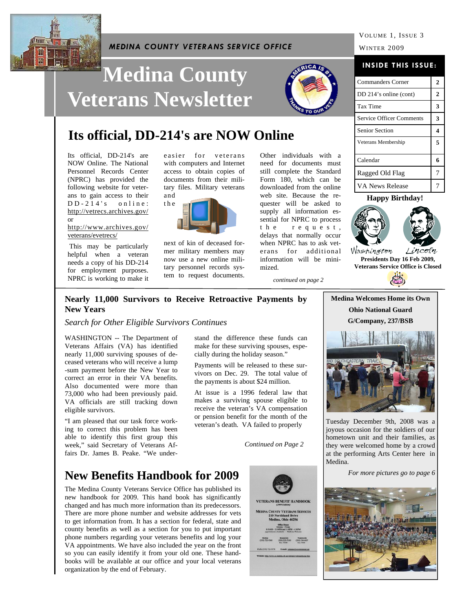

#### *MEDINA COUNTY VETERANS SERVICE OFFICE*

# **Medina County Veterans Newsletter**



## **Its official, DD-214's are NOW Online**

Its official, DD-214's are NOW Online. The National Personnel Records Center (NPRC) has provided the following website for veterans to gain access to their  $DD - 214$ 's online: http://vetrecs.archives.gov/ or

http://www.archives.gov/ veterans/evetrecs/

 This may be particularly helpful when a veteran needs a copy of his DD-214 for employment purposes. NPRC is working to make it

easier for veterans with computers and Internet access to obtain copies of documents from their military files. Military veterans and



next of kin of deceased former military members may now use a new online military personnel records system to request documents. Other individuals with a need for documents must still complete the Standard Form 180, which can be downloaded from the online web site. Because the requester will be asked to supply all information essential for NPRC to process t h e r e q u e s t , delays that normally occur when NPRC has to ask veterans for additional information will be minimized.

**INSIDE THIS ISSUE:**

| <b>Commanders Corner</b>        | $\boldsymbol{2}$ |
|---------------------------------|------------------|
| DD 214's online (cont)          | $\overline{2}$   |
| Tax Time                        | 3                |
| <b>Service Officer Comments</b> | 3                |
| <b>Senior Section</b>           | 4                |
| Veterans Membership             | 5                |
| Calendar                        | 6                |
| Ragged Old Flag                 | 7                |
| <b>VA News Release</b>          |                  |

#### **Happy Birthday!**



Washington **Presidents Day 16 Feb 2009, Veterans Service Office is Closed** 

*continued on page 2* 

#### **Nearly 11,000 Survivors to Receive Retroactive Payments by New Years**

*Search for Other Eligible Survivors Continues* 

WASHINGTON -- The Department of Veterans Affairs (VA) has identified nearly 11,000 surviving spouses of deceased veterans who will receive a lump -sum payment before the New Year to correct an error in their VA benefits. Also documented were more than 73,000 who had been previously paid. VA officials are still tracking down eligible survivors.

"I am pleased that our task force working to correct this problem has been able to identify this first group this week," said Secretary of Veterans Affairs Dr. James B. Peake. "We under-

stand the difference these funds can make for these surviving spouses, especially during the holiday season."

Payments will be released to these survivors on Dec. 29. The total value of the payments is about \$24 million.

At issue is a 1996 federal law that makes a surviving spouse eligible to receive the veteran's VA compensation or pension benefit for the month of the veteran's death. VA failed to properly

*Continued on Page 2* 

### **New Benefits Handbook for 2009**

The Medina County Veterans Service Office has published its new handbook for 2009. This hand book has significantly changed and has much more information than its predecessors. There are more phone number and website addresses for vets to get information from. It has a section for federal, state and county benefits as well as a section for you to put important phone numbers regarding your veterans benefits and log your VA appointments. We have also included the year on the front so you can easily identify it from your old one. These handbooks will be available at our office and your local veterans organization by the end of February.





Tuesday December 9th, 2008 was a joyous occasion for the soldiers of our hometown unit and their families, as they were welcomed home by a crowd at the performing Arts Center here in Medina.

*For more pictures go to page 6* 

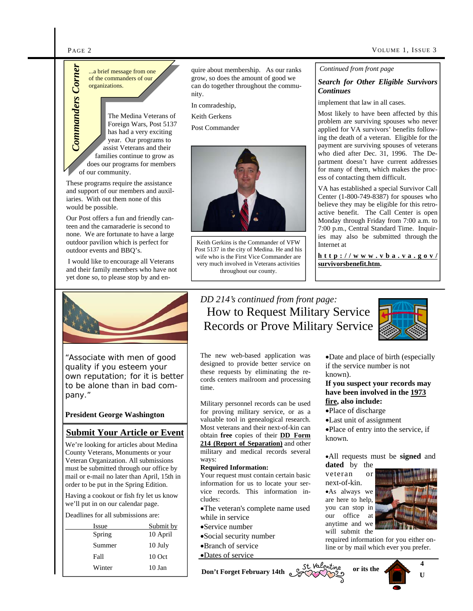of the commanders of our organizations.

The Medina Veterans of Foreign Wars, Post 5137 has had a very exciting year. Our programs to assist Veterans and their families continue to grow as does our programs for members of our community. **Commanders of our commanders of our organizations.**<br> **Commanders of our organizations.**<br>
The Medina Veter Foreign Wars, Postman and a very exception Wars, Postman and a very exception of the state of the state of the stat

These programs require the assistance and support of our members and auxiliaries. With out them none of this would be possible.

Our Post offers a fun and friendly canteen and the camaraderie is second to none. We are fortunate to have a large outdoor pavilion which is perfect for outdoor events and BBQ's.

 I would like to encourage all Veterans and their family members who have not yet done so, to please stop by and en-



"Associate with men of good quality if you esteem your own reputation; for it is better to be alone than in bad company."

#### **President George Washington**

#### **Submit Your Article or Event**

We're looking for articles about Medina County Veterans, Monuments or your Veteran Organization. All submissions must be submitted through our office by mail or e-mail no later than April, 15th in order to be put in the Spring Edition.

Having a cookout or fish fry let us know we'll put in on our calendar page.

Deadlines for all submissions are:

| Issue  | Submit by |
|--------|-----------|
| Spring | 10 April  |
| Summer | 10 July   |
| Fall   | $10$ Oct  |
| Winter | 10 Jan    |

quire about membership. As our ranks grow, so does the amount of good we can do together throughout the community.

In comradeship,

Keith Gerkens

Post Commander



Keith Gerkins is the Commander of VFW Post 5137 in the city of Medina. He and his wife who is the First Vice Commander are very much involved in Veterans activities throughout our county.

#### *Continued from front page*

#### *Search for Other Eligible Survivors Continues*

implement that law in all cases.

Most likely to have been affected by this problem are surviving spouses who never applied for VA survivors' benefits following the death of a veteran. Eligible for the payment are surviving spouses of veterans who died after Dec. 31, 1996. The Department doesn't have current addresses for many of them, which makes the process of contacting them difficult.

VA has established a special Survivor Call Center (1-800-749-8387) for spouses who believe they may be eligible for this retroactive benefit. The Call Center is open Monday through Friday from 7:00 a.m. to 7:00 p.m., Central Standard Time. Inquiries may also be submitted through the Internet at

**http://www.vba.va.gov/ survivorsbenefit.htm.**

### *DD 214's continued from front page:*  How to Request Military Service Records or Prove Military Service

The new web-based application was designed to provide better service on these requests by eliminating the records centers mailroom and processing time.

Military personnel records can be used for proving military service, or as a valuable tool in genealogical research. Most veterans and their next-of-kin can obtain **free** copies of their **DD Form 214 (Report of Separation)** and other military and medical records several ways:

#### **Required Information:**

Your request must contain certain basic information for us to locate your service records. This information includes:

The veteran's complete name used while in service

- Service number
- Social security number
- Branch of service

Dates of service

Date and place of birth (especially if the service number is not known).

#### **If you suspect your records may have been involved in the 1973 fire, also include:**

Place of discharge

Last unit of assignment

Place of entry into the service, if known.

All requests must be **signed** and **dated** by the

veteran or next-of-kin.

As always we are here to help, you can stop in our office at anytime and we will submit the



**4 U** 

required information for you either online or by mail which ever you prefer.

Winter 10 Jan **Don't Forget February 14th or its the**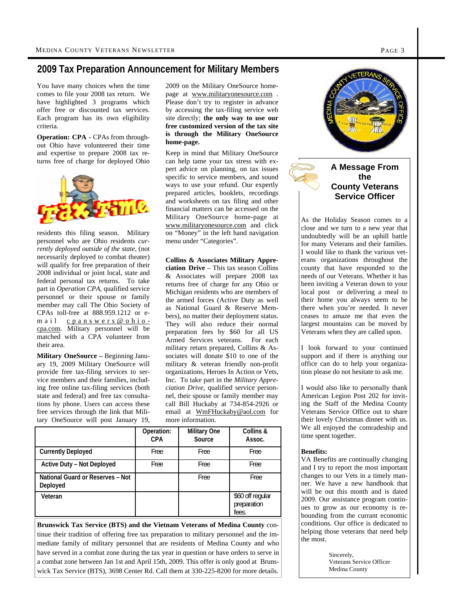#### **2009 Tax Preparation Announcement for Military Members**

You have many choices when the time comes to file your 2008 tax return. We have highlighted 3 programs which offer free or discounted tax services. Each program has its own eligibility criteria.

**Operation: CPA -** CPAs from throughout Ohio have volunteered their time and expertise to prepare 2008 tax returns free of charge for deployed Ohio



residents this filing season. Military personnel who are Ohio residents *currently deployed outside of the state*, (not necessarily deployed to combat theater) will qualify for free preparation of their 2008 individual or joint local, state and federal personal tax returns. To take part in *Operation CPA*, qualified service personnel or their spouse or family member may call The Ohio Society of CPAs toll-free at 888.959.1212 or email cpanswers@ohiocpa.com. Military personnel will be matched with a CPA volunteer from their area.

**Military OneSource –** Beginning January 19, 2009 Military OneSource will provide free tax-filing services to service members and their families, including free online tax-filing services (both state and federal) and free tax consultations by phone. Users can access these free services through the link that Military OneSource will post January 19, 2009 on the Military OneSource homepage at www.militaryonesource.com . Please don't try to register in advance by accessing the tax-filing service web site directly; **the only way to use our free customized version of the tax site is through the Military OneSource home-page.**

Keep in mind that Military OneSource can help tame your tax stress with expert advice on planning, on tax issues specific to service members, and sound ways to use your refund. Our expertly prepared articles, booklets, recordings and worksheets on tax filing and other financial matters can be accessed on the Military OneSource home-page at www.militaryonesource.com and click on "Money" in the left hand navigation menu under "Categories".

#### **Collins & Associates Military Appre-**

**ciation Drive** – This tax season Collins & Associates will prepare 2008 tax returns free of charge for any Ohio or Michigan residents who are members of the armed forces (Active Duty as well as National Guard & Reserve Members), no matter their deployment status. They will also reduce their normal preparation fees by \$60 for all US Armed Services veterans. For each military return prepared, Collins & Associates will donate \$10 to one of the military & veteran friendly non-profit organizations, Heroes In Action or Vets, Inc. To take part in the *Military Appreciation Drive*, qualified service personnel, their spouse or family member may call Bill Huckaby at 734-854-2926 or email at WmFHuckaby@aol.com for more information.

|                                                     | Operation:<br>CPA | <b>Military One</b><br>Source | Collins &<br>Assoc.                      |
|-----------------------------------------------------|-------------------|-------------------------------|------------------------------------------|
| <b>Currently Deployed</b>                           | <b>Free</b>       | Free                          | Free                                     |
| Active Duty - Not Deployed                          | <b>Free</b>       | Free                          | Free                                     |
| <b>National Guard or Reserves - Not</b><br>Deployed |                   | Free                          | Free                                     |
| Veteran                                             |                   |                               | \$60 off regular<br>preparation<br>fees. |

**Brunswick Tax Service (BTS) and the Vietnam Veterans of Medina County** continue their tradition of offering free tax preparation to military personnel and the immediate family of military personnel that are residents of Medina County and who have served in a combat zone during the tax year in question or have orders to serve in a combat zone between Jan 1st and April 15th, 2009. This offer is only good at Brunswick Tax Service (BTS), 3698 Center Rd. Call them at 330-225-8200 for more details.



close and we turn to a new year that undoubtedly will be an uphill battle for many Veterans and their families. I would like to thank the various veterans organizations throughout the county that have responded to the needs of our Veterans. Whether it has been inviting a Veteran down to your local post or delivering a meal to their home you always seem to be there when you're needed. It never ceases to amaze me that even the largest mountains can be moved by Veterans when they are called upon.

I look forward to your continued support and if there is anything our office can do to help your organization please do not hesitate to ask me.

I would also like to personally thank American Legion Post 202 for inviting the Staff of the Medina County Veterans Service Office out to share their lovely Christmas dinner with us. We all enjoyed the comradeship and time spent together.

#### **Benefits:**

VA Benefits are continually changing and I try to report the most important changes to our Vets in a timely manner. We have a new handbook that will be out this month and is dated 2009. Our assistance program continues to grow as our economy is rebounding from the currant economic conditions. Our office is dedicated to helping those veterans that need help the most.

> Sincerely, Veterans Service Officer Medina County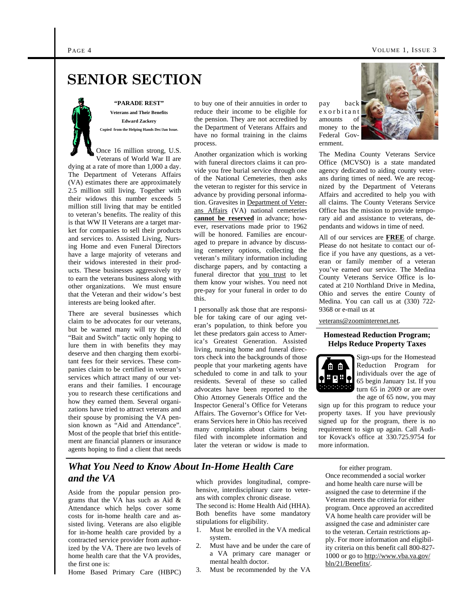#### PAGE 4 VOLUME 1, ISSUE 3

## **SENIOR SECTION**

**"PARADE REST" Veterans and Their Benefits Edward Zackery Copied from the Helping Hands Dec/Jan Issue.** 

Once 16 million strong, U.S. Veterans of World War II are dying at a rate of more than 1,000 a day. The Department of Veterans Affairs (VA) estimates there are approximately 2.5 million still living. Together with their widows this number exceeds 5 million still living that may be entitled to veteran's benefits. The reality of this is that WW II Veterans are a target market for companies to sell their products and services to. Assisted Living, Nursing Home and even Funeral Directors have a large majority of veterans and their widows interested in their products. These businesses aggressively try to earn the veterans business along with other organizations. We must ensure that the Veteran and their widow's best interests are being looked after.

There are several businesses which claim to be advocates for our veterans, but be warned many will try the old "Bait and Switch" tactic only hoping to lure them in with benefits they may deserve and then charging them exorbitant fees for their services. These companies claim to be certified in veteran's services which attract many of our veterans and their families. I encourage you to research these certifications and how they earned them. Several organizations have tried to attract veterans and their spouse by promising the VA pension known as "Aid and Attendance". Most of the people that brief this entitlement are financial planners or insurance agents hoping to find a client that needs

to buy one of their annuities in order to reduce their income to be eligible for the pension. They are not accredited by the Department of Veterans Affairs and have no formal training in the claims process.

Another organization which is working with funeral directors claims it can provide you free burial service through one of the National Cemeteries, then asks the veteran to register for this service in advance by providing personal information. Gravesites in Department of Veterans Affairs (VA) national cemeteries **cannot be reserved** in advance; however, reservations made prior to 1962 will be honored. Families are encouraged to prepare in advance by discussing cemetery options, collecting the veteran's military information including discharge papers, and by contacting a funeral director that you trust to let them know your wishes. You need not pre-pay for your funeral in order to do this.

I personally ask those that are responsible for taking care of our aging veteran's population, to think before you let these predators gain access to America's Greatest Generation. Assisted living, nursing home and funeral directors check into the backgrounds of those people that your marketing agents have scheduled to come in and talk to your residents. Several of these so called advocates have been reported to the Ohio Attorney Generals Office and the Inspector General's Office for Veterans Affairs. The Governor's Office for Veterans Services here in Ohio has received many complaints about claims being filed with incomplete information and later the veteran or widow is made to

pay back e x o r b i t a n t amounts of money to the Federal Government.



The Medina County Veterans Service Office (MCVSO) is a state mandated agency dedicated to aiding county veterans during times of need. We are recognized by the Department of Veterans Affairs and accredited to help you with all claims. The County Veterans Service Office has the mission to provide temporary aid and assistance to veterans, dependants and widows in time of need.

All of our services are **FREE** of charge. Please do not hesitate to contact our office if you have any questions, as a veteran or family member of a veteran you've earned our service. The Medina County Veterans Service Office is located at 210 Northland Drive in Medina, Ohio and serves the entire County of Medina. You can call us at (330) 722- 9368 or e-mail us at

veterans@zoominterenet.net.

#### **Homestead Reduction Program; Helps Reduce Property Taxes**



Sign-ups for the Homestead Reduction Program for individuals over the age of 65 begin January 1st. If you turn 65 in 2009 or are over the age of 65 now, you may

sign up for this program to reduce your property taxes. If you have previously signed up for the program, there is no requirement to sign up again. Call Auditor Kovack's office at 330.725.9754 for more information.

### *What You Need to Know About In-Home Health Care and the VA*

Aside from the popular pension programs that the VA has such as Aid & Attendance which helps cover some costs for in-home health care and assisted living. Veterans are also eligible for in-home health care provided by a contracted service provider from authorized by the VA. There are two levels of home health care that the VA provides, the first one is:

Home Based Primary Care (HBPC)

which provides longitudinal, comprehensive, interdisciplinary care to veterans with complex chronic disease.

The second is: Home Health Aid (HHA). Both benefits have some mandatory stipulations for eligibility.

- 1. Must be enrolled in the VA medical system.
- 2. Must have and be under the care of a VA primary care manager or mental health doctor.
- 3. Must be recommended by the VA

for either program. Once recommended a social worker and home health care nurse will be assigned the case to determine if the Veteran meets the criteria for either program. Once approved an accredited VA home health care provider will be assigned the case and administer care to the veteran. Certain restrictions apply. For more information and eligibility criteria on this benefit call 800-827- 1000 or go to http://www.vba.va.gov/ bln/21/Benefits/.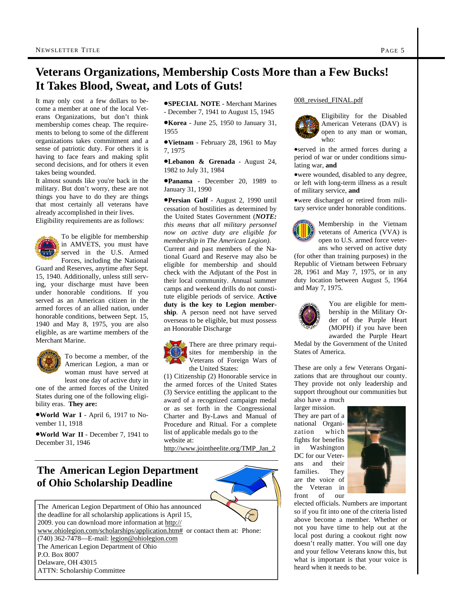### **Veterans Organizations, Membership Costs More than a Few Bucks! It Takes Blood, Sweat, and Lots of Guts!**

It may only cost a few dollars to become a member at one of the local Veterans Organizations, but don't think membership comes cheap. The requirements to belong to some of the different organizations takes commitment and a sense of patriotic duty. For others it is having to face fears and making split second decisions, and for others it even takes being wounded.

It almost sounds like you're back in the military. But don't worry, these are not things you have to do they are things that most certainly all veterans have already accomplished in their lives. Eligibility requirements are as follows:

To be eligible for membership in AMVETS, you must have served in the U.S. Armed Forces, including the National

Guard and Reserves, anytime after Sept. 15, 1940. Additionally, unless still serving, your discharge must have been under honorable conditions. If you served as an American citizen in the armed forces of an allied nation, under honorable conditions, between Sept. 15, 1940 and May 8, 1975, you are also eligible, as are wartime members of the Merchant Marine.



To become a member, of the American Legion, a man or woman must have served at least one day of active duty in

one of the armed forces of the United States during one of the following eligibility eras. **They are:**

**World War I** - April 6, 1917 to November 11, 1918

**World War II** - December 7, 1941 to December 31, 1946

**SPECIAL NOTE** - Merchant Marines - December 7, 1941 to August 15, 1945

**Korea** - June 25, 1950 to January 31, 1955

**Vietnam** - February 28, 1961 to May 7, 1975

**Lebanon & Grenada** - August 24, 1982 to July 31, 1984

**Panama** - December 20, 1989 to January 31, 1990

**Persian Gulf** - August 2, 1990 until cessation of hostilities as determined by the United States Government (*NOTE: this means that all military personnel now on active duty are eligible for membership in The American Legion)*. Current and past members of the National Guard and Reserve may also be eligible for membership and should check with the Adjutant of the Post in their local community. Annual summer camps and weekend drills do not constitute eligible periods of service. **Active duty is the key to Legion membership**. A person need not have served overseas to be eligible, but must possess an Honorable Discharge

There are three primary requisites for membership in the Veterans of Foreign Wars of the United States:

(1) Citizenship (2) Honorable service in the armed forces of the United States (3) Service entitling the applicant to the award of a recognized campaign medal or as set forth in the Congressional Charter and By-Laws and Manual of Procedure and Ritual. For a complete list of applicable medals go to the website at:

http://www.jointheelite.org/TMP\_Jan\_2

### **The American Legion Department of Ohio Scholarship Deadline**



#### 008\_revised\_FINAL.pdf



Eligibility for the Disabled American Veterans (DAV) is open to any man or woman, who:

served in the armed forces during a period of war or under conditions simulating war, **and**

were wounded, disabled to any degree, or left with long-term illness as a result of military service, **and**

were discharged or retired from military service under honorable conditions.



Membership in the Vietnam veterans of America (VVA) is open to U.S. armed force veterans who served on active duty

(for other than training purposes) in the Republic of Vietnam between February 28, 1961 and May 7, 1975, or in any duty location between August 5, 1964 and May 7, 1975.



You are eligible for membership in the Military Order of the Purple Heart (MOPH) if you have been awarded the Purple Heart

Medal by the Government of the United States of America.

These are only a few Veterans Organizations that are throughout our county. They provide not only leadership and support throughout our communities but also have a much

larger mission. They are part of a national Organization which fights for benefits in Washington DC for our Veterans and their families. They are the voice of the Veteran in front of our



elected officials. Numbers are important so if you fit into one of the criteria listed above become a member. Whether or not you have time to help out at the local post during a cookout right now doesn't really matter. You will one day and your fellow Veterans know this, but what is important is that your voice is heard when it needs to be.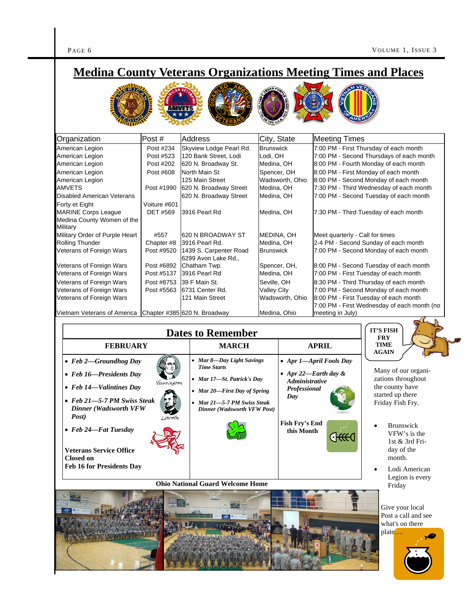$\blacktriangleright$ 

|                                                                                                                                                         |                                                   | <b>Medina County Veterans Organizations Meeting Times and Places</b>                                                                                                        |                                                                  |                                              |                                                                                                                                                                         |                                                                                                                                                                                                               |  |
|---------------------------------------------------------------------------------------------------------------------------------------------------------|---------------------------------------------------|-----------------------------------------------------------------------------------------------------------------------------------------------------------------------------|------------------------------------------------------------------|----------------------------------------------|-------------------------------------------------------------------------------------------------------------------------------------------------------------------------|---------------------------------------------------------------------------------------------------------------------------------------------------------------------------------------------------------------|--|
|                                                                                                                                                         |                                                   |                                                                                                                                                                             |                                                                  |                                              |                                                                                                                                                                         |                                                                                                                                                                                                               |  |
| Organization                                                                                                                                            | Post#                                             | <b>Address</b>                                                                                                                                                              | City, State                                                      |                                              | <b>Meeting Times</b>                                                                                                                                                    |                                                                                                                                                                                                               |  |
| American Legion                                                                                                                                         | Post #234                                         | Skyview Lodge Pearl Rd.                                                                                                                                                     | <b>Brunswick</b>                                                 |                                              |                                                                                                                                                                         | 7:00 PM - First Thursday of each month                                                                                                                                                                        |  |
| American Legion<br>American Legion<br>American Legion<br>American Legion<br>AMVETS<br>Disabled American Veterans                                        | Post #523<br>Post #202<br>Post #608<br>Post #1990 | 120 Bank Street, Lodi<br>620 N. Broadway St.<br>North Main St<br>125 Main Street<br>620 N. Broadway Street                                                                  | Lodi, OH<br>Medina, OH<br>Spencer, OH<br>Medina, OH              | Wadsworth, Ohio                              |                                                                                                                                                                         | 7:00 PM - Second Thursdays of each month<br>8:00 PM - Fourth Monday of each month<br>8:00 PM - First Monday of each month<br>8:00 PM - Second Monday of each month<br>7:30 PM - Third Wednesday of each month |  |
| Forty et Eight<br><b>MARINE Corps League</b><br>Medina County Women of the                                                                              | Voiture #601<br><b>DET #569</b>                   | 620 N. Broadway Street<br>3916 Pearl Rd                                                                                                                                     | Medina, OH<br>Medina, OH                                         |                                              | 7:00 PM - Second Tuesday of each month<br>7:30 PM - Third Tuesday of each month                                                                                         |                                                                                                                                                                                                               |  |
| Military<br>Military Order of Purple Heart<br>Rolling Thunder<br>Veterans of Foreign Wars<br>Veterans of Foreign Wars                                   | #557<br>Chapter #8<br>Post #9520<br>Post #6892    | 620 N BROADWAY ST<br>3916 Pearl Rd.<br>1439 S. Carpenter Road<br>6299 Avon Lake Rd.,<br>Chatham Twp.                                                                        | Medina, OH<br><b>Brunswick</b>                                   | MEDINA, OH<br>Spencer, OH,                   | Meet quarterly - Call for times<br>2-4 PM - Second Sunday of each month<br>7:00 PM - Second Monday of each month<br>8:00 PM - Second Tuesday of each month              |                                                                                                                                                                                                               |  |
| Veterans of Foreign Wars                                                                                                                                | Post #5137                                        | 3916 Pearl Rd                                                                                                                                                               | Medina, OH                                                       |                                              |                                                                                                                                                                         | 7:00 PM - First Tuesday of each month                                                                                                                                                                         |  |
| Veterans of Foreign Wars<br>Veterans of Foreign Wars<br>Veterans of Foreign Wars                                                                        | Post #8753<br>Post #5563                          | 39 F Main St.<br>6731 Center Rd.<br>121 Main Street                                                                                                                         | Seville, OH<br><b>Valley City</b>                                | Wadsworth, Ohio                              | 8:30 PM - Third Thursday of each month<br>7:00 PM - Second Monday of each month<br>8:00 PM - First Tuesday of each month<br>7:00 PM - First Wednesday of each month (no |                                                                                                                                                                                                               |  |
| Vietnam Veterans of America                                                                                                                             |                                                   | Chapter #385 620 N. Broadway                                                                                                                                                |                                                                  | Medina, Ohio                                 | meeting in July)                                                                                                                                                        |                                                                                                                                                                                                               |  |
|                                                                                                                                                         |                                                   | <b>Dates to Remember</b>                                                                                                                                                    |                                                                  |                                              |                                                                                                                                                                         | <b>IT'S FISH</b>                                                                                                                                                                                              |  |
| <b>FEBRUARY</b>                                                                                                                                         |                                                   | <b>MARCH</b>                                                                                                                                                                |                                                                  | <b>APRIL</b>                                 | <b>FRY</b><br>TIME                                                                                                                                                      |                                                                                                                                                                                                               |  |
| $\bullet$ Feb 2-Groundhog Day<br>• Feb 16-Presidents Day<br>• Feb $14$ —Valintines Day<br>• Feb 21-5-7 PM Swiss Steak<br>Dinner (Wadsworth VFW<br>Post) | Washington                                        | • Mar 8-Day Light Savings<br><b>Time Starts</b><br>• Mar 17-St. Patrick's Day<br>• Mar 20-First Day of Spring<br>• Mar 21-5-7 PM Swiss Steak<br>Dinner (Wadsworth VFW Post) |                                                                  | <b>Administrative</b><br>Professional<br>Day | • Apr 1-April Fools Day<br>• Apr 22-Earth day $\&$                                                                                                                      | <b>AGAIN</b><br>Many of our organi-<br>zations throughout<br>the county have<br>started up there<br>Friday Fish Fry.                                                                                          |  |
| • Feb 24-Fat Tuesday                                                                                                                                    | Lincoln                                           |                                                                                                                                                                             | <b>Fish Fry's End</b><br>this Month<br>$\epsilon$ Htt $\epsilon$ |                                              | Brunswick<br>VFW's is the<br>1st & 3rd Fri-                                                                                                                             |                                                                                                                                                                                                               |  |
| <b>Veterans Service Office</b><br><b>Closed on</b><br><b>Feb 16 for Presidents Day</b>                                                                  |                                                   |                                                                                                                                                                             |                                                                  |                                              |                                                                                                                                                                         | day of the<br>month.<br>Lodi American                                                                                                                                                                         |  |
|                                                                                                                                                         |                                                   | <b>Ohio National Guard Welcome Home</b>                                                                                                                                     |                                                                  |                                              |                                                                                                                                                                         | Legion is every                                                                                                                                                                                               |  |
|                                                                                                                                                         |                                                   |                                                                                                                                                                             |                                                                  |                                              |                                                                                                                                                                         | Friday<br>Give your local<br>Post a call and see<br>what's on there<br>plate                                                                                                                                  |  |

THE MANUSCRIPTION OF BUILDING

**Designation**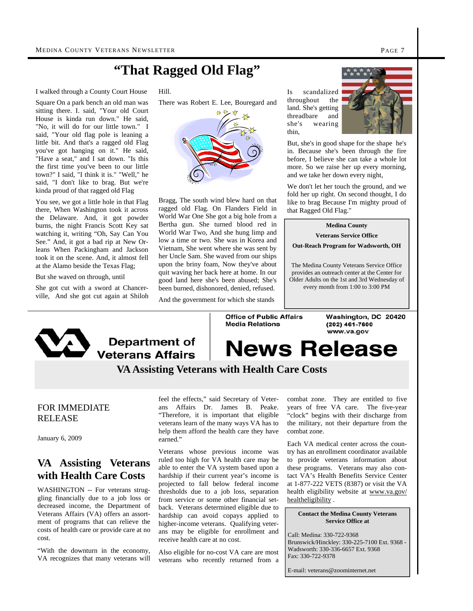### **"That Ragged Old Flag"**

I walked through a County Court House

Square On a park bench an old man was sitting there. I. said, "Your old Court House is kinda run down." He said, "No, it will do for our little town." I said, "Your old flag pole is leaning a little bit. And that's a ragged old Flag you've got hanging on it." He said, "Have a seat," and I sat down. "Is this the first time you've been to our little town?" I said, "I think it is." "Well," he said, "I don't like to brag. But we're kinda proud of that ragged old Flag

You see, we got a little hole in that Flag there, When Washington took it across the Delaware. And, it got powder burns, the night Francis Scott Key sat watching it, writing "Oh, Say Can You See." And, it got a bad rip at New Orleans When Packingham and Jackson took it on the scene. And, it almost fell at the Alamo beside the Texas Flag;

But she waved on through, until

She got cut with a sword at Chancerville, And she got cut again at Shiloh

Hill.

There was Robert E. Lee, Bouregard and



Bragg, The south wind blew hard on that ragged old Flag. On Flanders Field in World War One She got a big hole from a Bertha gun. She turned blood red in World War Two, And she hung limp and low a time or two. She was in Korea and Vietnam, She went where she was sent by her Uncle Sam. She waved from our ships upon the briny foam, Now they've about quit waving her back here at home. In our good land here she's been abused; She's been burned, dishonored, denied, refused.

And the government for which she stands

Is scandalized throughout the land. She's getting threadbare and she's wearing thin,



But, she's in good shape for the shape he's in. Because she's been through the fire before, I believe she can take a whole lot more. So we raise her up every morning, and we take her down every night,

We don't let her touch the ground, and we fold her up right. On second thought, I do like to brag Because I'm mighty proud of that Ragged Old Flag."

#### **Medina County Veterans Service Office**

**Out-Reach Program for Wadsworth, OH** 

The Medina County Veterans Service Office provides an outreach center at the Center for Older Adults on the 1st and 3rd Wednesday of every month from 1:00 to 3:00 PM



**Department of Veterans Affairs** 

**Office of Public Affairs Media Relations** 

Washington, DC 20420 (202) 461-7600 www.va.gov

# **News Release**

### **VA Assisting Veterans with Health Care Costs**

#### FOR IMMEDIATE RELEASE

January 6, 2009

### **VA Assisting Veterans with Health Care Costs**

WASHINGTON -- For veterans struggling financially due to a job loss or decreased income, the Department of Veterans Affairs (VA) offers an assortment of programs that can relieve the costs of health care or provide care at no cost.

"With the downturn in the economy, VA recognizes that many veterans will

feel the effects," said Secretary of Veterans Affairs Dr. James B. Peake. "Therefore, it is important that eligible veterans learn of the many ways VA has to help them afford the health care they have earned."

Veterans whose previous income was ruled too high for VA health care may be able to enter the VA system based upon a hardship if their current year's income is projected to fall below federal income thresholds due to a job loss, separation from service or some other financial setback. Veterans determined eligible due to hardship can avoid copays applied to higher-income veterans. Qualifying veterans may be eligible for enrollment and receive health care at no cost.

Also eligible for no-cost VA care are most veterans who recently returned from a combat zone. They are entitled to five years of free VA care. The five-year "clock" begins with their discharge from the military, not their departure from the combat zone.

Each VA medical center across the country has an enrollment coordinator available to provide veterans information about these programs. Veterans may also contact VA's Health Benefits Service Center at 1-877-222 VETS (8387) or visit the VA health eligibility website at www.va.gov/ healtheligibility.

#### **Contact the Medina County Veterans Service Office at**

Call: Medina: 330-722-9368 Brunswick/Hinckley: 330-225-7100 Ext. 9368 - Wadsworth: 330-336-6657 Ext. 9368 Fax: 330-722-9378

E-mail: veterans@zoominternet.net